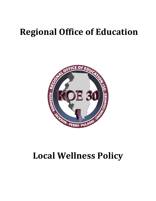# **Regional Office of Education**



# **Local Wellness Policy**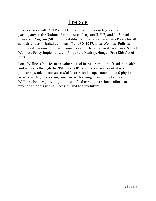## Preface

In accordance with 7 CFR 210.31(c), a Local Education Agency that participates in the National School Lunch Program (NSLP) and/or School Breakfast Program (SBP) must establish a Local School Wellness Policy for all schools under its jurisdiction. As of June 30, 2017, Local Wellness Policies must meet the minimum requirements set forth in the Final Rule: Local School Wellness Policy Implementation Under the Healthy, Hunger-Free Kids Act of 2010.

Local Wellness Policies are a valuable tool in the promotion of student health and wellness through the NSLP and SBP. Schools play an essential role in preparing students for successful futures, and proper nutrition and physical activity are key to creating constructive learning environments. Local Wellness Policies provide guidance to further support schools efforts to provide students with a successful and healthy future.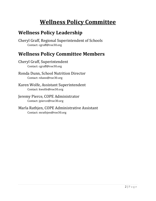# **Wellness Policy Committee**

### **Wellness Policy Leadership**

Cheryl Graff, Regional Superintendent of Schools Contact: cgraff@roe30.org

### **Wellness Policy Committee Members**

Cheryl Graff, Superintendent Contact: cgraff@roe30.org

Ronda Dunn, School Nutrition Director Contact: rdunn@roe30.org

Karen Wolfe, Assistant Superintendent Contact: kwolfe@roe30.org

Jeremy Pierce, COPE Administrator Contact: jpierce@roe30.org

Marla Rathjen, COPE Administrative Assistant Contact: mrathjen@roe30.org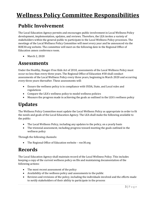# **Wellness Policy Committee Responsibilities**

### **Public Involvement**

The Local Education Agency permits and encourages public involvement in Local Wellness Policy development, implementation, updates, and reviews. Therefore, the LEA invites a variety of stakeholders within the general public to participate in the Local Wellness Policy processes. The meetings of the Local Wellness Policy Committee will meet every year and be announced via the ROE30.org website. The committee will meet on the following date in the Regional Office of Education annex conference room.

• March 2, 2020

#### **Assessments**

Under the Healthy, Hunger-Free Kids Act of 2010, assessments of the Local Wellness Policy must occur no less than every three years. The Regional Office of Education #30 shall conduct assessments of the Local Wellness Policy every three years, beginning in March 2020 and occurring every three years thereafter. These assessments will:

- Ensure the wellness policy is in compliance with USDA, State, and Local rules and regulations
- Compare the LEA's wellness policy to model wellness policies
- Measure the progress made in achieving the goals as outlined in the LEA's wellness policy

### **Updates**

The Wellness Policy Committee must update the Local Wellness Policy as appropriate in order to fit the needs and goals of the Local Education Agency. The LEA shall make the following available to the public:

- The Local Wellness Policy, including any updates to the policy, on a yearly basis
- The triennial assessment, including progress toward meeting the goals outlined in the wellness policy

Through the following channels:

• The Regional Office of Education website – roe30.org

#### **Records**

The Local Education Agency shall maintain record of the Local Wellness Policy. This includes keeping a copy of the current wellness policy on file and maintaining documentation of the following actions:

- The most recent assessment of the policy
- Availability of the wellness policy and assessments to the public
- Reviews and revisions of the policy, including the individuals involved and the efforts made to notify stakeholders of their ability to participate in the process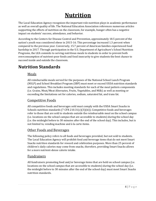## **Nutrition**

The Local Education Agency recognizes the important role nutrition plays in academic performance as well as overall quality of life. The National Education Association references numerous articles supporting the effects of nutrition on the classroom, for example, hunger often has a negative impact on students' success, attendance, and behavior.

According to the Centers for Disease Control and Prevention, approximately 18.5 percent of the nation's youth was considered obese in 2015-16. This percentage increased 1.3 percent when compared to the previous year. Conversely, 15.7 percent of American families experienced food hardship in 2017. Through participation in the U.S. Department of Agriculture's School Nutrition Programs, the LEA commits to serving nutritious meals to students in order to prevent both overconsumption of nutrient-poor foods and food insecurity to give students the best chance to succeed inside and outside the classroom.

#### **Nutrition Standards**

#### Meals

All reimbursable meals served for the purposes of the National School Lunch Program (NSLP) and School Breakfast Program (SBP) must meet or exceed USDA nutrition standards and regulations. This includes meeting standards for each of the meal pattern components (i.e. Grains, Meat/Meat Alternates, Fruits, Vegetables, and Milk) as well as meeting or exceeding the limitations set for calories, sodium, saturated fat, and trans fat.

#### Competitive Foods

All competitive foods and beverages sold must comply with the USDA Smart Snacks in Schools nutrition standards (7 CFR 210.31 $(c)(3)(iii)$ ). Competitive foods and beverages refer to those that are sold to students outside the reimbursable meal on the school campus (i.e. locations on the school campus that are accessible to students) during the school day (i.e. the midnight before to 30 minutes after the end of the school day). This includes, but is not limited to, vending machine and à la carte items.

#### Other Foods and Beverages

The following policy refers to all foods and beverages provided, but not sold to students. The Local Education Agency will prohibit food and beverage items that do not meet Smart Snacks nutrition standards for reward and celebration purposes. More than 25 percent of children's daily calories may come from snacks, therefore, providing Smart Snacks allows for a more nutrient-dense calorie intake.

#### Fundraisers

All fundraisers promoting food and/or beverage items that are held on school campus (i.e. locations on the school campus that are accessible to students) during the school day (i.e. the midnight before to 30 minutes after the end of the school day) must meet Smart Snacks nutrition standards.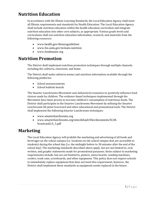#### **Nutrition Education**

In accordance with the Illinois Learning Standards, the Local Education Agency shall meet all Illinois requirements and standards for Health Education. The Local Education Agency shall include nutrition education within the health education curriculum and integrate nutrition education into other core subjects, as appropriate. Various grade levels and curriculums shall use nutrition education information, research, and materials from the following resources:

- www.health.gov/dietaryguidelines
- www.fns.usda.gov/tn/team-nutrition
- www.foodmaster.org

#### **Nutrition Promotion**

The District shall implement nutrition promotion techniques through multiple channels, including the cafeteria, classroom, and home.

The District shall make cafeteria menus and nutrition information available through the following platforms:

- School announcements
- School bulletin boards

The Smarter Lunchrooms Movement uses behavioral economics to positively influence food choices made by children. The evidence-based techniques implemented through the Movement have been proven to increase children's consumption of nutritious foods. The District shall participate in the Smarter Lunchrooms Movement by utilizing the Smarter Lunchrooms 60-point Scorecard and other educational and promotional tools. The District shall implement the following Smarter Lunchrooms techniques:

- www.smarterlunchrooms.org
- www.smarterlunchrooms.org/sites/default/files/documents/SLM-Scorecard2.0\_5.pdf

#### **Marketing**

The Local Education Agency will prohibit the marketing and advertising of all foods and beverages on the school campus (i.e. locations on the school campus that are accessible to students) during the school day (i.e. the midnight before to 30 minutes after the end of the school day). The marketing standards described above apply, but are not limited to, oral, written, and graphic statements made for promotional purposes. Items subject to marketing requirements include, but are not limited to, posters, menu boards, vending machines, coolers, trash cans, scoreboards, and other equipment. This policy does not require schools to immediately replace equipment that does not meet this requirement, however, the District shall implement these standards as equipment needs replaced in the future.